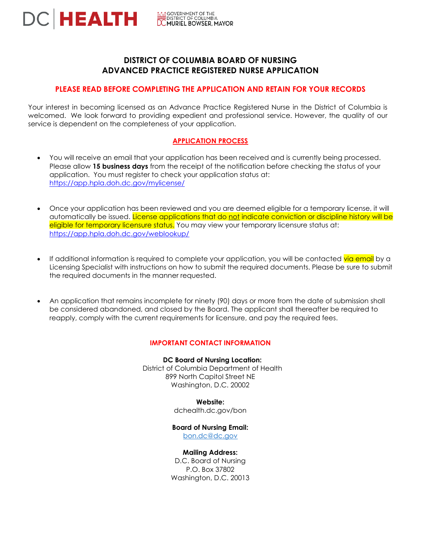

# **DISTRICT OF COLUMBIA BOARD OF NURSING ADVANCED PRACTICE REGISTERED NURSE APPLICATION**

# **PLEASE READ BEFORE COMPLETING THE APPLICATION AND RETAIN FOR YOUR RECORDS**

Your interest in becoming licensed as an Advance Practice Registered Nurse in the District of Columbia is welcomed. We look forward to providing expedient and professional service. However, the quality of our service is dependent on the completeness of your application.

### **APPLICATION PROCESS**

- You will receive an email that your application has been received and is currently being processed. Please allow **15 business days** from the receipt of the notification before checking the status of your application. You must register to check your application status at: <https://app.hpla.doh.dc.gov/mylicense/>
- Once your application has been reviewed and you are deemed eligible for a temporary license, it will automatically be issued. License applications that do not indicate conviction or discipline history will be eligible for temporary licensure status. You may view your temporary licensure status at: <https://app.hpla.doh.dc.gov/weblookup/>
- If additional information is required to complete your application, you will be contacted via email by a Licensing Specialist with instructions on how to submit the required documents. Please be sure to submit the required documents in the manner requested.
- An application that remains incomplete for ninety (90) days or more from the date of submission shall be considered abandoned, and closed by the Board. The applicant shall thereafter be required to reapply, comply with the current requirements for licensure, and pay the required fees.

### **IMPORTANT CONTACT INFORMATION**

**DC Board of Nursing Location:** District of Columbia Department of Health 899 North Capitol Street NE Washington, D.C. 20002

**Website:**

dchealth.dc.gov/bon

#### **Board of Nursing Email:**

[bon.dc@dc.gov](mailto:bon.dc@dc.gov)

#### **Mailing Address:**

D.C. Board of Nursing P.O. Box 37802 Washington, D.C. 20013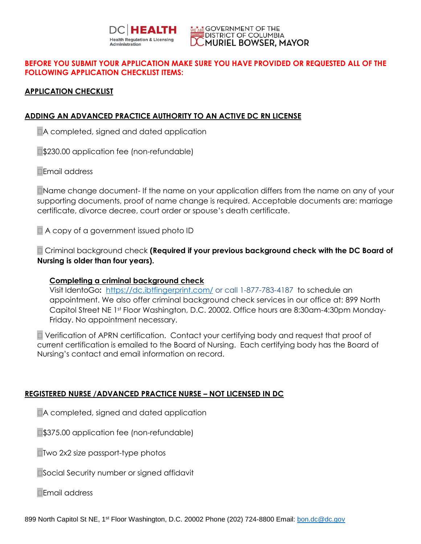



# **BEFORE YOU SUBMIT YOUR APPLICATION MAKE SURE YOU HAVE PROVIDED OR REQUESTED ALL OF THE FOLLOWING APPLICATION CHECKLIST ITEMS:**

# **APPLICATION CHECKLIST**

# **ADDING AN ADVANCED PRACTICE AUTHORITY TO AN ACTIVE DC RN LICENSE**

A completed, signed and dated application

**S230.00 application fee (non-refundable)** 

Email address

Name change document- If the name on your application differs from the name on any of your supporting documents, proof of name change is required. Acceptable documents are: marriage certificate, divorce decree, court order or spouse's death certificate.

A copy of a government issued photo ID

 Criminal background check **(Required if your previous background check with the DC Board of Nursing is older than four years).**

# **Completing a criminal background check**

Visit IdentoGo**:** <https://dc.ibtfingerprint.com/> or call 1-877-783-4187 [t](http://www.l1enrollment.com/state/?st=DC)o schedule an appointment. We also offer criminal background check services in our office at: 899 North Capitol Street NE 1st Floor Washington, D.C. 20002. Office hours are 8:30am-4:30pm Monday-Friday. No appointment necessary.

 Verification of APRN certification. Contact your certifying body and request that proof of current certification is emailed to the Board of Nursing. Each certifying body has the Board of Nursing's contact and email information on record.

# **REGISTERED NURSE /ADVANCED PRACTICE NURSE – NOT LICENSED IN DC**

A completed, signed and dated application

**\$375.00 application fee (non-refundable)** 

**□Two 2x2 size passport-type photos** 

■Social Security number or signed affidavit

Email address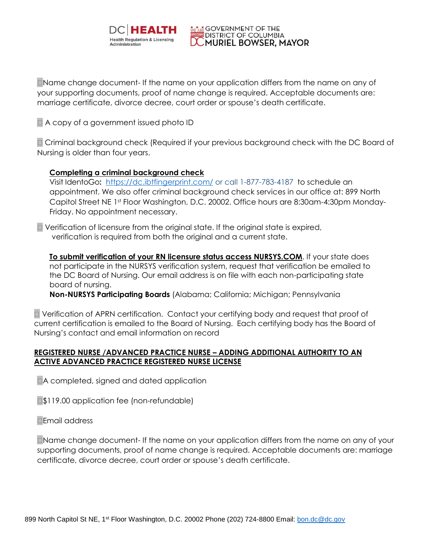

Name change document- If the name on your application differs from the name on any of your supporting documents, proof of name change is required. Acceptable documents are: marriage certificate, divorce decree, court order or spouse's death certificate.

**WEARE GOVERNMENT OF THE DISTRICT OF COLUMBIA** 

MURIEL BOWSER, MAYOR

A copy of a government issued photo ID

 Criminal background check (Required if your previous background check with the DC Board of Nursing is older than four years.

# **Completing a criminal background check**

Visit IdentoGo**:** <https://dc.ibtfingerprint.com/> or call 1-877-783-4187 [t](http://www.l1enrollment.com/state/?st=DC)o schedule an appointment. We also offer criminal background check services in our office at: 899 North Capitol Street NE 1st Floor Washington, D.C. 20002. Office hours are 8:30am-4:30pm Monday-Friday. No appointment necessary.

 Verification of licensure from the original state. If the original state is expired, verification is required from both the original and a current state.

**To submit verification of your RN licensure status access NURSYS.COM**. If your state does not participate in the NURSYS verification system, request that verification be emailed to the DC Board of Nursing. Our email address is on file with each non-participating state board of nursing.

**Non-NURSYS Participating Boards** (Alabama; California; Michigan; Pennsylvania

 Verification of APRN certification. Contact your certifying body and request that proof of current certification is emailed to the Board of Nursing. Each certifying body has the Board of Nursing's contact and email information on record

# **REGISTERED NURSE /ADVANCED PRACTICE NURSE – ADDING ADDITIONAL AUTHORITY TO AN ACTIVE ADVANCED PRACTICE REGISTERED NURSE LICENSE**

A completed, signed and dated application

**S119.00 application fee (non-refundable)** 

Email address

Name change document- If the name on your application differs from the name on any of your supporting documents, proof of name change is required. Acceptable documents are: marriage certificate, divorce decree, court order or spouse's death certificate.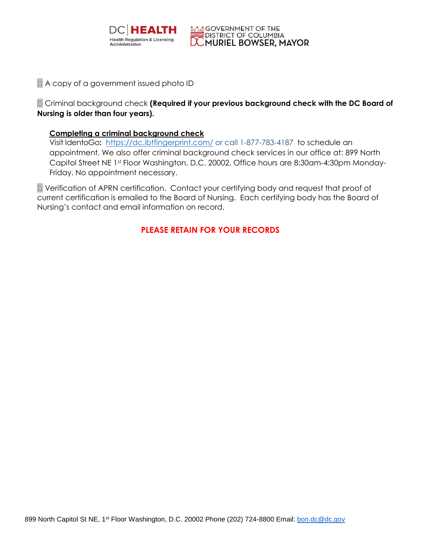

# A copy of a government issued photo ID

 Criminal background check **(Required if your previous background check with the DC Board of Nursing is older than four years).**

**MEARE GOVERNMENT OF THE** 

**DISTRICT OF COLUMBIA** 

**DCMURIEL BOWSER, MAYOR** 

# **Completing a criminal background check**

Visit IdentoGo**:** <https://dc.ibtfingerprint.com/> or call 1-877-783-4187 [t](http://www.l1enrollment.com/state/?st=DC)o schedule an appointment. We also offer criminal background check services in our office at: 899 North Capitol Street NE 1st Floor Washington, D.C. 20002. Office hours are 8:30am-4:30pm Monday-Friday. No appointment necessary.

 Verification of APRN certification. Contact your certifying body and request that proof of current certification is emailed to the Board of Nursing. Each certifying body has the Board of Nursing's contact and email information on record.

# **PLEASE RETAIN FOR YOUR RECORDS**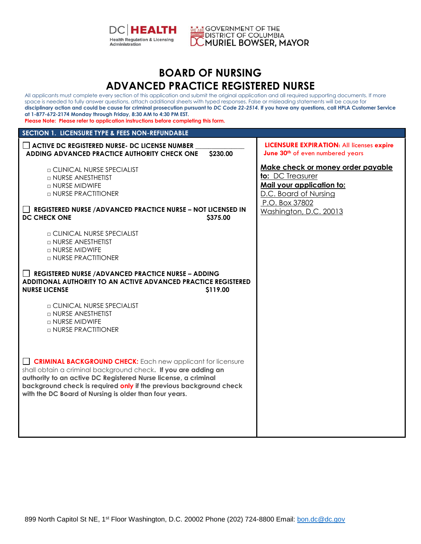



# **BOARD OF NURSING ADVANCED PRACTICE REGISTERED NURSE**

All applicants must complete every section of this application and submit the original application and all required supporting documents. If more space is needed to fully answer questions, attach additional sheets with typed responses. False or misleading statements will be cause for **disciplinary action and could be cause for criminal prosecution pursuant to** *DC Code 22-2514***. If you have any questions, call HPLA Customer Service at 1-877-672-2174 Monday through Friday, 8:30 AM to 4:30 PM EST. Please Note: Please refer to application instructions before completing this form. SECTION 1. LICENSURE TYPE & FEES NON-REFUNDABLE ACTIVE DC REGISTERED NURSE- DC LICENSE NUMBER \_\_\_\_\_\_\_\_\_\_\_\_\_\_\_ ADDING ADVANCED PRACTICE AUTHORITY CHECK ONE \$230.00** □ CLINICAL NURSE SPECIALIST □ NURSE ANESTHETIST □ NURSE MIDWIFE □ NURSE PRACTITIONER **REGISTERED NURSE /ADVANCED PRACTICE NURSE – NOT LICENSED IN DC CHECK ONE \$375.00** □ CLINICAL NURSE SPECIALIST □ NURSE ANESTHETIST □ NURSE MIDWIFE □ NURSE PRACTITIONER **REGISTERED NURSE /ADVANCED PRACTICE NURSE – ADDING ADDITIONAL AUTHORITY TO AN ACTIVE ADVANCED PRACTICE REGISTERED NURSE LICENSE** \$119.00 □ CLINICAL NURSE SPECIALIST □ NURSE ANESTHETIST □ NURSE MIDWIFE □ NURSE PRACTITIONER **CRIMINAL BACKGROUND CHECK:** Each new applicant for licensure shall obtain a criminal background check**. If you are adding an authority to an active DC Registered Nurse license, a criminal background check is required only if the previous background check with the DC Board of Nursing is older than four years. LICENSURE EXPIRATION**: All licenses **expire June 30th** of even numbered years **Make check or money order payable to:** DC Treasurer **Mail your application to:** D.C. Board of Nursing P.O. Box 37802 Washington, D.C. 20013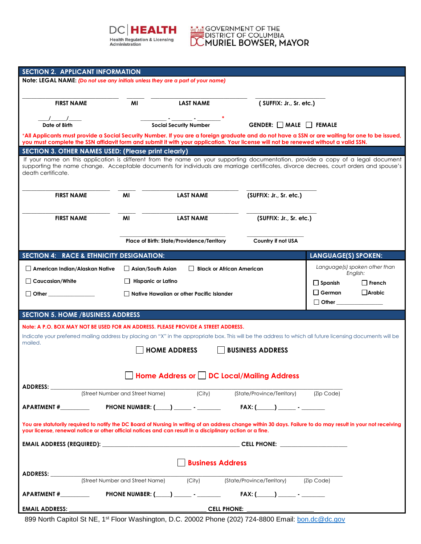



| <b>SECTION 2. APPLICANT INFORMATION</b>                                                                                                                                                                                                                                    |                                                              |                                                  |                                                 |                                                                                                                                                            |  |
|----------------------------------------------------------------------------------------------------------------------------------------------------------------------------------------------------------------------------------------------------------------------------|--------------------------------------------------------------|--------------------------------------------------|-------------------------------------------------|------------------------------------------------------------------------------------------------------------------------------------------------------------|--|
| Note: LEGAL NAME: (Do not use any initials unless they are a part of your name)                                                                                                                                                                                            |                                                              |                                                  |                                                 |                                                                                                                                                            |  |
|                                                                                                                                                                                                                                                                            |                                                              |                                                  |                                                 |                                                                                                                                                            |  |
| <b>FIRST NAME</b>                                                                                                                                                                                                                                                          | MI                                                           | <b>LAST NAME</b>                                 | (SUFFIX: Jr., Sr. etc.)                         |                                                                                                                                                            |  |
|                                                                                                                                                                                                                                                                            |                                                              |                                                  |                                                 |                                                                                                                                                            |  |
| $\sqrt{2}$<br>Date of Birth                                                                                                                                                                                                                                                |                                                              | <b>Social Security Number</b>                    | GENDER: MALE FEMALE                             |                                                                                                                                                            |  |
|                                                                                                                                                                                                                                                                            |                                                              |                                                  |                                                 | *All Applicants must provide a Social Security Number. If you are a foreign graduate and do not have a SSN or are waiting for one to be issued,            |  |
| you must complete the SSN affidavit form and submit it with your application. Your license will not be renewed without a valid SSN.                                                                                                                                        |                                                              |                                                  |                                                 |                                                                                                                                                            |  |
| SECTION 3. OTHER NAMES USED: (Please print clearly)                                                                                                                                                                                                                        |                                                              |                                                  |                                                 | If your name on this application is different from the name on your supporting documentation, provide a copy of a legal document                           |  |
| death certificate.                                                                                                                                                                                                                                                         |                                                              |                                                  |                                                 | supporting the name change. Acceptable documents for individuals are marriage certificates, divorce decrees, court orders and spouse's                     |  |
| <b>FIRST NAME</b>                                                                                                                                                                                                                                                          | MI                                                           | <b>LAST NAME</b>                                 | (SUFFIX: Jr., Sr. etc.)                         |                                                                                                                                                            |  |
|                                                                                                                                                                                                                                                                            |                                                              |                                                  |                                                 |                                                                                                                                                            |  |
| <b>FIRST NAME</b>                                                                                                                                                                                                                                                          | MI                                                           | <b>LAST NAME</b>                                 | (SUFFIX: Jr., Sr. etc.)                         |                                                                                                                                                            |  |
|                                                                                                                                                                                                                                                                            |                                                              |                                                  |                                                 |                                                                                                                                                            |  |
|                                                                                                                                                                                                                                                                            |                                                              | Place of Birth: State/Providence/Territory       | Country if not USA                              |                                                                                                                                                            |  |
| <b>SECTION 4: RACE &amp; ETHNICITY DESIGNATION:</b>                                                                                                                                                                                                                        |                                                              |                                                  |                                                 | <b>LANGUAGE(S) SPOKEN:</b>                                                                                                                                 |  |
| $\Box$ American Indian/Alaskan Native                                                                                                                                                                                                                                      | Asian/South Asian                                            |                                                  | <b>Black or African American</b>                | Language(s) spoken other than<br>English:                                                                                                                  |  |
| Caucasian/White                                                                                                                                                                                                                                                            | $\Box$ Hispanic or Latino<br>$\Box$ Spanish<br>$\Box$ French |                                                  |                                                 |                                                                                                                                                            |  |
| $\Box$ Other $\Box$                                                                                                                                                                                                                                                        |                                                              | $\Box$ Native Hawaiian or other Pacific Islander |                                                 | $\square$ German<br>$\Box$ Arabic                                                                                                                          |  |
|                                                                                                                                                                                                                                                                            |                                                              |                                                  |                                                 | $\Box$ Other $\Box$                                                                                                                                        |  |
| <b>SECTION 5. HOME / BUSINESS ADDRESS</b>                                                                                                                                                                                                                                  |                                                              |                                                  |                                                 |                                                                                                                                                            |  |
| Note: A P.O. BOX MAY NOT BE USED FOR AN ADDRESS. PLEASE PROVIDE A STREET ADDRESS.                                                                                                                                                                                          |                                                              |                                                  |                                                 |                                                                                                                                                            |  |
|                                                                                                                                                                                                                                                                            |                                                              |                                                  |                                                 | Indicate your preferred mailing address by placing an "X" in the appropriate box. This will be the address to which all future licensing documents will be |  |
| mailed.<br><b>HOME ADDRESS</b><br><b>BUSINESS ADDRESS</b>                                                                                                                                                                                                                  |                                                              |                                                  |                                                 |                                                                                                                                                            |  |
|                                                                                                                                                                                                                                                                            |                                                              |                                                  |                                                 |                                                                                                                                                            |  |
|                                                                                                                                                                                                                                                                            |                                                              |                                                  | Home Address or $\Box$ DC Local/Mailing Address |                                                                                                                                                            |  |
|                                                                                                                                                                                                                                                                            |                                                              |                                                  |                                                 |                                                                                                                                                            |  |
|                                                                                                                                                                                                                                                                            | (Street Number and Street Name) (City)                       |                                                  | (State/Province/Territory) (Zip Code)           |                                                                                                                                                            |  |
|                                                                                                                                                                                                                                                                            |                                                              |                                                  |                                                 |                                                                                                                                                            |  |
|                                                                                                                                                                                                                                                                            |                                                              |                                                  |                                                 |                                                                                                                                                            |  |
| You are statutorily required to notify the DC Board of Nursing in writing of an address change within 30 days. Failure to do may result in your not receiving<br>your license, renewal notice or other official notices and can result in a disciplinary action or a fine. |                                                              |                                                  |                                                 |                                                                                                                                                            |  |
|                                                                                                                                                                                                                                                                            |                                                              |                                                  |                                                 |                                                                                                                                                            |  |
|                                                                                                                                                                                                                                                                            |                                                              |                                                  |                                                 |                                                                                                                                                            |  |
| <b>Business Address</b>                                                                                                                                                                                                                                                    |                                                              |                                                  |                                                 |                                                                                                                                                            |  |
| ADDRESS: __________                                                                                                                                                                                                                                                        |                                                              |                                                  |                                                 |                                                                                                                                                            |  |
|                                                                                                                                                                                                                                                                            | (Street Number and Street Name)                              | $\overline{(\text{City})}$                       | (State/Province/Territory)                      | (Zip Code)                                                                                                                                                 |  |
|                                                                                                                                                                                                                                                                            |                                                              |                                                  | $FAX: (\_\_) \_\_ \_ \cdot \_\_$                |                                                                                                                                                            |  |
| <b>EMAIL ADDRESS:</b>                                                                                                                                                                                                                                                      |                                                              |                                                  | CELL PHONE: ____________________                |                                                                                                                                                            |  |

899 North Capitol St NE, 1<sup>st</sup> Floor Washington, D.C. 20002 Phone (202) 724-8800 Email: **bon.dc@dc.gov**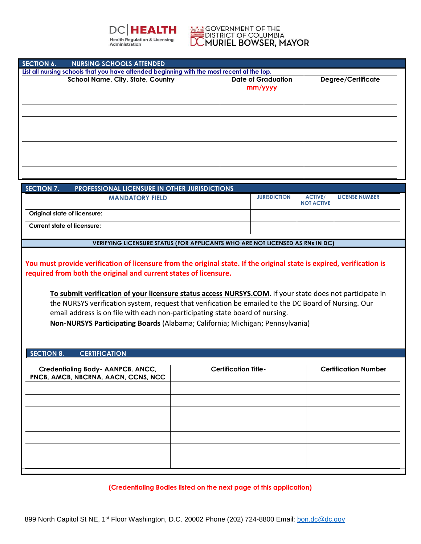

#### **WEARE GOVERNMENT OF THE** DISTRICT OF COLUMBIA MURIEL BOWSER, MAYOR

| <b>SECTION 6.</b>                                                                          | <b>NURSING SCHOOLS ATTENDED</b>   |                                      |                    |  |
|--------------------------------------------------------------------------------------------|-----------------------------------|--------------------------------------|--------------------|--|
| List all nursing schools that you have attended beginning with the most recent at the top. |                                   |                                      |                    |  |
|                                                                                            | School Name, City, State, Country | <b>Date of Graduation</b><br>mm/yyyy | Degree/Certificate |  |
|                                                                                            |                                   |                                      |                    |  |
|                                                                                            |                                   |                                      |                    |  |
|                                                                                            |                                   |                                      |                    |  |
|                                                                                            |                                   |                                      |                    |  |
|                                                                                            |                                   |                                      |                    |  |
|                                                                                            |                                   |                                      |                    |  |
|                                                                                            |                                   |                                      |                    |  |

| SECTION 7.<br><b>PROFESSIONAL LICENSURE IN OTHER JURISDICTIONS</b> |                     |                                     |                       |
|--------------------------------------------------------------------|---------------------|-------------------------------------|-----------------------|
| <b>MANDATORY FIELD</b>                                             | <b>JURISDICTION</b> | <b>ACTIVE/</b><br><b>NOT ACTIVE</b> | <b>LICENSE NUMBER</b> |
| Original state of licensure:                                       |                     |                                     |                       |
| <b>Current state of licensure:</b>                                 |                     |                                     |                       |

#### **VERIFYING LICENSURE STATUS (FOR APPLICANTS WHO ARE NOT LICENSED AS RNs IN DC)**

**You must provide verification of licensure from the original state. If the original state is expired, verification is required from both the original and current states of licensure.** 

**To submit verification of your licensure status access NURSYS.COM. If your state does not participate in** .<br>+۲ the NURSYS verification system, request that verification be emailed to the DC Board of Nursing. Our **n**  email address is on file with each non-participating state board of nursing. **and Non-NURSYS Participating Boards** (Alabama; California; Michigan; Pennsylvania)

 $\mathcal{L}$ 

**pass ed** 

### **SECTION 8. CERTIFICATION**

| Credentialing Body- AANPCB, ANCC,<br>PNCB, AMCB, NBCRNA, AACN, CCNS, NCC | <b>Certification Title-</b> | <b>Certification Number</b> |
|--------------------------------------------------------------------------|-----------------------------|-----------------------------|
|                                                                          |                             |                             |
|                                                                          |                             |                             |
|                                                                          |                             |                             |
|                                                                          |                             |                             |
|                                                                          |                             |                             |

**n (Credentialing Bodies listed on the next page of this application)**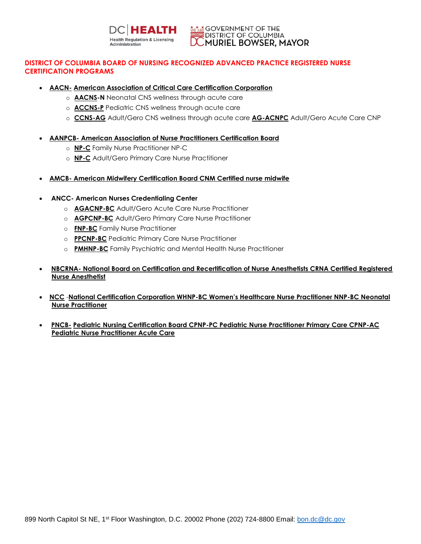

# **DISTRICT OF COLUMBIA BOARD OF NURSING RECOGNIZED ADVANCED PRACTICE REGISTERED NURSE CERTIFICATION PROGRAMS**

- **AACN- American Association of Critical Care Certification Corporation**
	- o **AACNS-N** Neonatal CNS wellness through acute care
	- o **ACCNS-P** Pediatric CNS wellness through acute care
	- o **CCNS-AG** Adult/Gero CNS wellness through acute care **AG-ACNPC** Adult/Gero Acute Care CNP

### **AANPCB- American Association of Nurse Practitioners Certification Board**

- o **NP-C** Family Nurse Practitioner NP-C
- o **NP-C** Adult/Gero Primary Care Nurse Practitioner
- **AMCB- American Midwifery Certification Board CNM Certified nurse midwife**

### **ANCC- American Nurses Credentialing Center**

- o **AGACNP-BC** Adult/Gero Acute Care Nurse Practitioner
- o **AGPCNP-BC** Adult/Gero Primary Care Nurse Practitioner
- o **FNP-BC** Family Nurse Practitioner
- o **PPCNP-BC** Pediatric Primary Care Nurse Practitioner
- o **PMHNP-BC** Family Psychiatric and Mental Health Nurse Practitioner
- **NBCRNA- National Board on Certification and Recertification of Nurse Anesthetists CRNA Certified Registered Nurse Anesthetist**
- **NCC** -**National Certification Corporation WHNP-BC Women's Healthcare Nurse Practitioner NNP-BC Neonatal Nurse Practitioner**
- **PNCB- Pediatric Nursing Certification Board CPNP-PC Pediatric Nurse Practitioner Primary Care CPNP-AC Pediatric Nurse Practitioner Acute Care**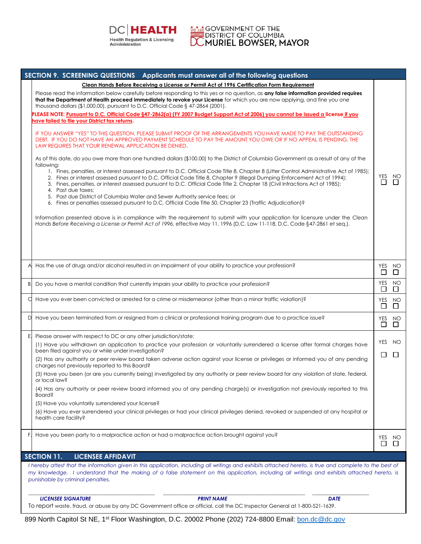

**MEARE** GOVERNMENT OF THE<br>DISTRICT OF COLUMBIA<br>**DC MURIEL BOWSER, MAYOR** 

|    | SECTION 9. SCREENING QUESTIONS Applicants must answer all of the following questions                                                                                                                                                                                                                                                                                                                                                                                                                                                                                                                                                                                |               |                  |
|----|---------------------------------------------------------------------------------------------------------------------------------------------------------------------------------------------------------------------------------------------------------------------------------------------------------------------------------------------------------------------------------------------------------------------------------------------------------------------------------------------------------------------------------------------------------------------------------------------------------------------------------------------------------------------|---------------|------------------|
|    | Clean Hands Before Receiving a License or Permit Act of 1996 Certification Form Requirement                                                                                                                                                                                                                                                                                                                                                                                                                                                                                                                                                                         |               |                  |
|    | Please read the information below carefully before responding to this yes or no question, as any false information provided requires<br>that the Department of Health proceed immediately to revoke your License for which you are now applying, and fine you one<br>thousand dollars $(\$1,000.00)$ , pursuant to D.C. Official Code $\S$ 47-2864 (2001).                                                                                                                                                                                                                                                                                                          |               |                  |
|    | PLEASE NOTE: Pursuant to D.C. Official Code §47-2862(a) (FY 2007 Budget Support Act of 2006) you cannot be issued a license if you<br>have failed to file your District tax returns.                                                                                                                                                                                                                                                                                                                                                                                                                                                                                |               |                  |
|    | IF YOU ANSWER "YES" TO THIS QUESTION, PLEASE SUBMIT PROOF OF THE ARRANGEMENTS YOU HAVE MADE TO PAY THE OUTSTANDING<br>DEBT. IF YOU DO NOT HAVE AN APPROVED PAYMENT SCHEDULE TO PAY THE AMOUNT YOU OWE OR IF NO APPEAL IS PENDING, THE<br>LAW REQUIRES THAT YOUR RENEWAL APPLICATION BE DENIED.                                                                                                                                                                                                                                                                                                                                                                      |               |                  |
|    | As of this date, do you owe more than one hundred dollars (\$100.00) to the District of Columbia Government as a result of any of the<br>following:<br>1. Fines, penalties, or interest assessed pursuant to D.C. Official Code Title 8, Chapter 8 (Litter Control Administrative Act of 1985);<br>2. Fines or interest assessed pursuant to D.C. Official Code Title 8, Chapter 9 (Illegal Dumping Enforcement Act of 1994);<br>3. Fines, penalties, or interest assessed pursuant to D.C. Official Code Title 2, Chapter 18 (Civil Infractions Act of 1985);<br>4. Past due taxes;<br>5. Past due District of Columbia Water and Sewer Authority service fees; or | YES<br>$\Box$ | NO<br>$\Box$     |
|    | 6. Fines or penalties assessed pursuant to D.C. Official Code Title 50, Chapter 23 (Traffic Adjudication)?<br>Information presented above is in compliance with the requirement to submit with your application for licensure under the Clean                                                                                                                                                                                                                                                                                                                                                                                                                       |               |                  |
|    | Hands Before Receiving a License or Permit Act of 1996, effective May 11, 1996 (D.C. Law 11-118, D.C. Code §47-2861 et seq.).                                                                                                                                                                                                                                                                                                                                                                                                                                                                                                                                       |               |                  |
|    | A Has the use of drugs and/or alcohol resulted in an impairment of your ability to practice your profession?                                                                                                                                                                                                                                                                                                                                                                                                                                                                                                                                                        | $\Box$        | YES NO<br>П      |
|    | B. Do you have a mental condition that currently impairs your ability to practice your profession?                                                                                                                                                                                                                                                                                                                                                                                                                                                                                                                                                                  | YES<br>$\Box$ | NO<br>$\Box$     |
|    | Have you ever been convicted or arrested for a crime or misdemeanor (other than a minor traffic violation)?                                                                                                                                                                                                                                                                                                                                                                                                                                                                                                                                                         | $\Box$        | YES NO<br>$\Box$ |
|    | D Have you been terminated from or resigned from a clinical or professional training program due to a practice issue?                                                                                                                                                                                                                                                                                                                                                                                                                                                                                                                                               | $\Box$        | YES NO<br>$\Box$ |
| E. | Please answer with respect to DC or any other jurisdiction/state:                                                                                                                                                                                                                                                                                                                                                                                                                                                                                                                                                                                                   |               |                  |
|    | (1) Have you withdrawn an application to practice your profession or voluntarily surrendered a license after formal charges have<br>been filed against you or while under investigation?                                                                                                                                                                                                                                                                                                                                                                                                                                                                            | $\Box$        | YES NO<br>$\Box$ |
|    | (2) Has any authority or peer review board taken adverse action against your license or privileges or informed you of any pending<br>charges not previously reported to this Board?                                                                                                                                                                                                                                                                                                                                                                                                                                                                                 |               |                  |
|    | (3) Have you been (or are you currently being) investigated by any authority or peer review board for any violation of state, federal,<br>or local law?                                                                                                                                                                                                                                                                                                                                                                                                                                                                                                             |               |                  |
|    | (4) Has any authority or peer review board informed you of any pending charge(s) or investigation not previously reported to this<br>Board?                                                                                                                                                                                                                                                                                                                                                                                                                                                                                                                         |               |                  |
|    | (5) Have you voluntarily surrendered your license?                                                                                                                                                                                                                                                                                                                                                                                                                                                                                                                                                                                                                  |               |                  |
|    | (6) Have you ever surrendered your clinical privileges or had your clinical privileges denied, revoked or suspended at any hospital or<br>health care facility?                                                                                                                                                                                                                                                                                                                                                                                                                                                                                                     |               |                  |
| H. | Have you been party to a malpractice action or had a malpractice action brought against you?                                                                                                                                                                                                                                                                                                                                                                                                                                                                                                                                                                        | YES<br>⊔      | NO               |
|    | <b>SECTION 11.</b><br><b>LICENSEE AFFIDAVIT</b>                                                                                                                                                                                                                                                                                                                                                                                                                                                                                                                                                                                                                     |               |                  |
|    | I hereby attest that the information given in this application, including all writings and exhibits attached hereto, is true and complete to the best of<br>my knowledge. I understand that the making of a false statement on this application, including all writings and exhibits attached hereto, is<br>punishable by criminal penalties.                                                                                                                                                                                                                                                                                                                       |               |                  |
|    | <b>LICENSEE SIGNATURE</b><br><b>PRINT NAME</b><br><b>DATE</b>                                                                                                                                                                                                                                                                                                                                                                                                                                                                                                                                                                                                       |               |                  |
|    | To report waste, fraud, or abuse by any DC Government office or official, call the DC Inspector General at 1-800-521-1639.                                                                                                                                                                                                                                                                                                                                                                                                                                                                                                                                          |               |                  |

899 North Capitol St NE, 1<sup>st</sup> Floor Washington, D.C. 20002 Phone (202) 724-8800 Email: **bon.dc@dc.gov**